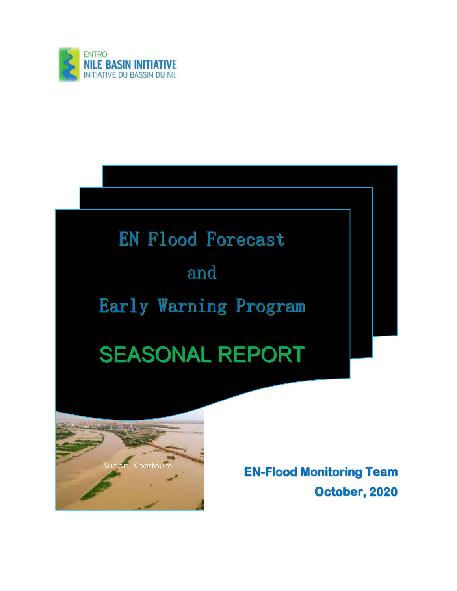

## **EN Flood Forecast** and

## Early Warning Program

# **SEASONAL REPORT**



**EN-Flood Monitoring Team** October, 2020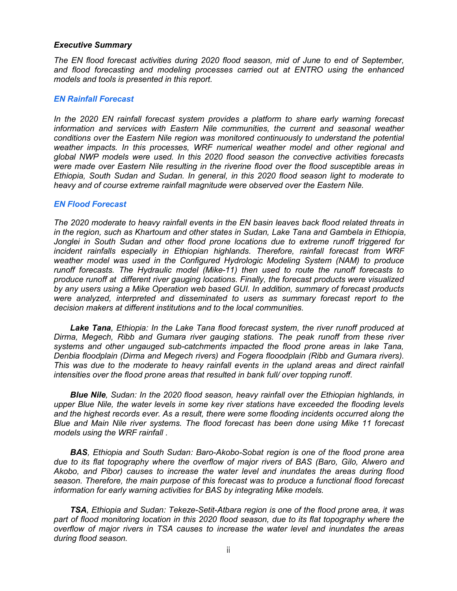#### *Executive Summary*

*The EN flood forecast activities during 2020 flood season, mid of June to end of September, and flood forecasting and modeling processes carried out at ENTRO using the enhanced models and tools is presented in this report.*

#### *EN Rainfall Forecast*

*In the 2020 EN rainfall forecast system provides a platform to share early warning forecast information and services with Eastern Nile communities, the current and seasonal weather conditions over the Eastern Nile region was monitored continuously to understand the potential weather impacts. In this processes, WRF numerical weather model and other regional and global NWP models were used. In this 2020 flood season the convective activities forecasts were made over Eastern Nile resulting in the riverine flood over the flood susceptible areas in Ethiopia, South Sudan and Sudan. In general, in this 2020 flood season light to moderate to heavy and of course extreme rainfall magnitude were observed over the Eastern Nile.*

#### *EN Flood Forecast*

*The 2020 moderate to heavy rainfall events in the EN basin leaves back flood related threats in in the region, such as Khartoum and other states in Sudan, Lake Tana and Gambela in Ethiopia, Jonglei in South Sudan and other flood prone locations due to extreme runoff triggered for incident rainfalls especially in Ethiopian highlands. Therefore, rainfall forecast from WRF weather model was used in the Configured Hydrologic Modeling System (NAM) to produce runoff forecasts. The Hydraulic model (Mike-11) then used to route the runoff forecasts to produce runoff at different river gauging locations. Finally, the forecast products were visualized by any users using a Mike Operation web based GUI. In addition, summary of forecast products were analyzed, interpreted and disseminated to users as summary forecast report to the decision makers at different institutions and to the local communities.*

*Lake Tana, Ethiopia: In the Lake Tana flood forecast system, the river runoff produced at Dirma, Megech, Ribb and Gumara river gauging stations. The peak runoff from these river systems and other ungauged sub-catchments impacted the flood prone areas in lake Tana, Denbia floodplain (Dirma and Megech rivers) and Fogera flooodplain (Ribb and Gumara rivers). This was due to the moderate to heavy rainfall events in the upland areas and direct rainfall intensities over the flood prone areas that resulted in bank full/ over topping runoff.*

*Blue Nile, Sudan: In the 2020 flood season, heavy rainfall over the Ethiopian highlands, in upper Blue Nile, the water levels in some key river stations have exceeded the flooding levels and the highest records ever. As a result, there were some flooding incidents occurred along the Blue and Main Nile river systems. The flood forecast has been done using Mike 11 forecast models using the WRF rainfall .*

*BAS, Ethiopia and South Sudan: Baro-Akobo-Sobat region is one of the flood prone area due to its flat topography where the overflow of major rivers of BAS (Baro, Gilo, Alwero and Akobo, and Pibor) causes to increase the water level and inundates the areas during flood season. Therefore, the main purpose of this forecast was to produce a functional flood forecast information for early warning activities for BAS by integrating Mike models.*

*TSA, Ethiopia and Sudan: Tekeze-Setit-Atbara region is one of the flood prone area, it was part of flood monitoring location in this 2020 flood season, due to its flat topography where the overflow of major rivers in TSA causes to increase the water level and inundates the areas during flood season.*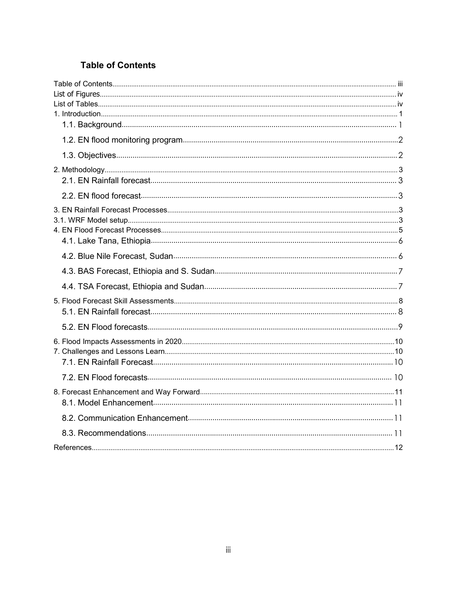## **Table of Contents**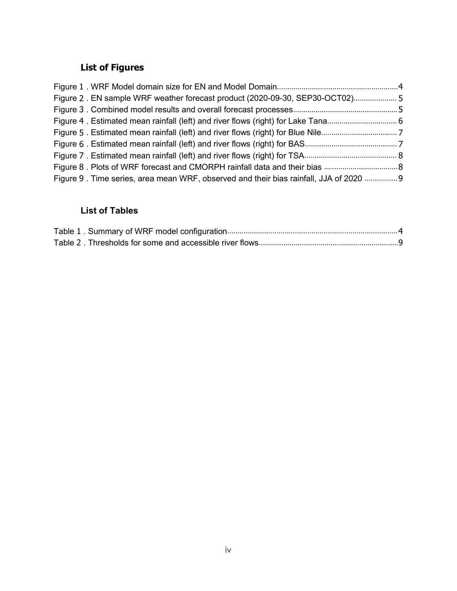## **List of Figures**

| Figure 2. EN sample WRF weather forecast product (2020-09-30, SEP30-OCT02)5            |  |
|----------------------------------------------------------------------------------------|--|
|                                                                                        |  |
|                                                                                        |  |
|                                                                                        |  |
|                                                                                        |  |
|                                                                                        |  |
|                                                                                        |  |
| Figure 9. Time series, area mean WRF, observed and their bias rainfall, JJA of 2020  9 |  |

### **List of Tables**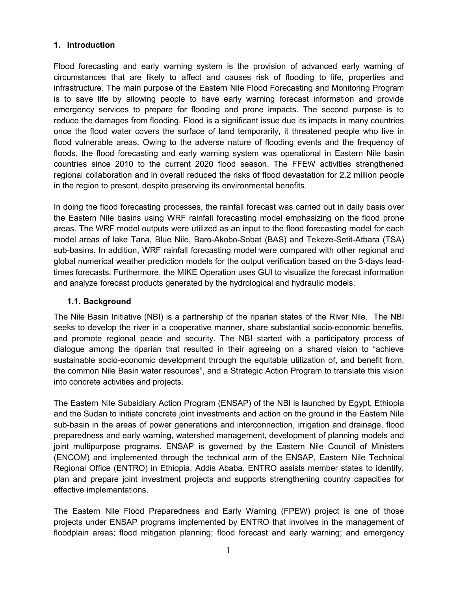#### **1. Introduction**

Flood forecasting and early warning system is the provision of advanced early warning of circumstances that are likely to affect and causes risk of flooding to life, properties and infrastructure. The main purpose of the Eastern Nile Flood Forecasting and Monitoring Program is to save life by allowing people to have early warning forecast information and provide emergency services to prepare for flooding and prone impacts. The second purpose is to reduce the damages from flooding. Flood is a significant issue due its impacts in many countries once the flood water covers the surface of land temporarily, it threatened people who live in flood vulnerable areas. Owing to the adverse nature of flooding events and the frequency of floods, the flood forecasting and early warning system was operational in Eastern Nile basin countries since 2010 to the current 2020 flood season. The FFEW activities strengthened regional collaboration and in overall reduced the risks of flood devastation for 2.2 million people in the region to present, despite preserving its environmental benefits.

In doing the flood forecasting processes, the rainfall forecast was carried out in daily basis over the Eastern Nile basins using WRF rainfall forecasting model emphasizing on the flood prone areas. The WRF model outputs were utilized as an input to the flood forecasting model for each model areas of lake Tana, Blue Nile, Baro-Akobo-Sobat (BAS) and Tekeze-Setit-Atbara (TSA) sub-basins. In addition, WRF rainfall forecasting model were compared with other regional and global numerical weather prediction models for the output verification based on the 3-days leadtimes forecasts. Furthermore, the MIKE Operation uses GUI to visualize the forecast information and analyze forecast products generated by the hydrological and hydraulic models.

#### **1.1. Background**

The Nile Basin Initiative (NBI) is a partnership of the riparian states of the River Nile. The NBI seeks to develop the river in a cooperative manner, share substantial socio-economic benefits, and promote regional peace and security. The NBI started with a participatory process of dialogue among the riparian that resulted in their agreeing on a shared vision to "achieve sustainable socio-economic development through the equitable utilization of, and benefit from, the common Nile Basin water resources", and a Strategic Action Program to translate this vision into concrete activities and projects.

The Eastern Nile Subsidiary Action Program (ENSAP) of the NBI is launched by Egypt, Ethiopia and the Sudan to initiate concrete joint investments and action on the ground in the Eastern Nile sub-basin in the areas of power generations and interconnection, irrigation and drainage, flood preparedness and early warning, watershed management, development of planning models and joint multipurpose programs. ENSAP is governed by the Eastern Nile Council of Ministers (ENCOM) and implemented through the technical arm of the ENSAP, Eastern Nile Technical Regional Office (ENTRO) in Ethiopia, Addis Ababa. ENTRO assists member states to identify, plan and prepare joint investment projects and supports strengthening country capacities for effective implementations.

The Eastern Nile Flood Preparedness and Early Warning (FPEW) project is one of those projects under ENSAP programs implemented by ENTRO that involves in the management of floodplain areas; flood mitigation planning; flood forecast and early warning; and emergency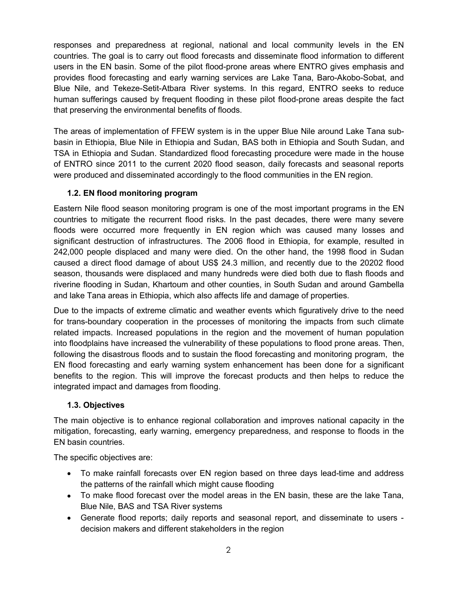responses and preparedness at regional, national and local community levels in the EN countries. The goal is to carry out flood forecasts and disseminate flood information to different users in the EN basin. Some of the pilot flood-prone areas where ENTRO gives emphasis and provides flood forecasting and early warning services are Lake Tana, Baro-Akobo-Sobat, and Blue Nile, and Tekeze-Setit-Atbara River systems. In this regard, ENTRO seeks to reduce human sufferings caused by frequent flooding in these pilot flood-prone areas despite the fact that preserving the environmental benefits of floods.

The areas of implementation of FFEW system is in the upper Blue Nile around Lake Tana subbasin in Ethiopia, Blue Nile in Ethiopia and Sudan, BAS both in Ethiopia and South Sudan, and TSA in Ethiopia and Sudan. Standardized flood forecasting procedure were made in the house of ENTRO since 2011 to the current 2020 flood season, daily forecasts and seasonal reports were produced and disseminated accordingly to the flood communities in the EN region.

#### **1.2. EN flood monitoring program**

Eastern Nile flood season monitoring program is one of the most important programs in the EN countries to mitigate the recurrent flood risks. In the past decades, there were many severe floods were occurred more frequently in EN region which was caused many losses and significant destruction of infrastructures. The 2006 flood in Ethiopia, for example, resulted in 242,000 people displaced and many were died. On the other hand, the 1998 flood in Sudan caused a direct flood damage of about US\$ 24.3 million, and recently due to the 20202 flood season, thousands were displaced and many hundreds were died both due to flash floods and riverine flooding in Sudan, Khartoum and other counties, in South Sudan and around Gambella and lake Tana areas in Ethiopia, which also affects life and damage of properties.

Due to the impacts of extreme climatic and weather events which figuratively drive to the need for trans-boundary cooperation in the processes of monitoring the impacts from such climate related impacts. Increased populations in the region and the movement of human population into floodplains have increased the vulnerability of these populations to flood prone areas. Then, following the disastrous floods and to sustain the flood forecasting and monitoring program, the EN flood forecasting and early warning system enhancement has been done for a significant benefits to the region. This will improve the forecast products and then helps to reduce the integrated impact and damages from flooding.

#### **1.3. Objectives**

The main objective is to enhance regional collaboration and improves national capacity in the mitigation, forecasting, early warning, emergency preparedness, and response to floods in the EN basin countries.

The specific objectives are:

- To make rainfall forecasts over EN region based on three days lead-time and address the patterns of the rainfall which might cause flooding
- To make flood forecast over the model areas in the EN basin, these are the lake Tana, Blue Nile, BAS and TSA River systems
- Generate flood reports; daily reports and seasonal report, and disseminate to users decision makers and different stakeholders in the region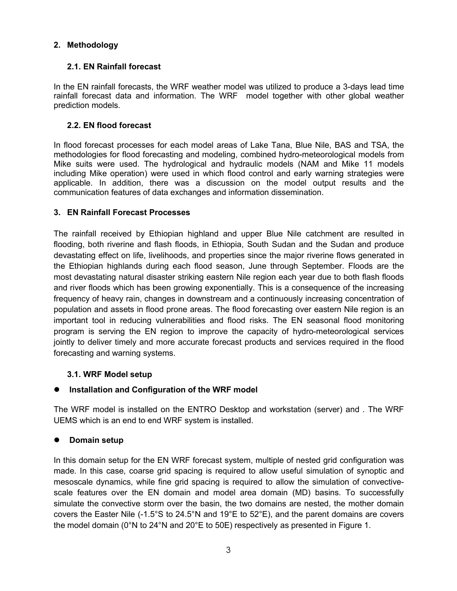#### **2. Methodology**

#### **2.1. EN Rainfall forecast**

In the EN rainfall forecasts, the WRF weather model was utilized to produce a 3-days lead time rainfall forecast data and information. The WRF model together with other global weather prediction models.

#### **2.2. EN flood forecast**

In flood forecast processes for each model areas of Lake Tana, Blue Nile, BAS and TSA, the methodologies for flood forecasting and modeling, combined hydro-meteorological models from Mike suits were used. The hydrological and hydraulic models (NAM and Mike 11 models including Mike operation) were used in which flood control and early warning strategies were applicable. In addition, there was a discussion on the model output results and the communication features of data exchanges and information dissemination.

#### **3. EN Rainfall Forecast Processes**

The rainfall received by Ethiopian highland and upper Blue Nile catchment are resulted in flooding, both riverine and flash floods, in Ethiopia, South Sudan and the Sudan and produce devastating effect on life, livelihoods, and properties since the major riverine flows generated in the Ethiopian highlands during each flood season, June through September. Floods are the most devastating natural disaster striking eastern Nile region each year due to both flash floods and river floods which has been growing exponentially. This is a consequence of the increasing frequency of heavy rain, changes in downstream and a continuously increasing concentration of population and assets in flood prone areas. The flood forecasting over eastern Nile region is an important tool in reducing vulnerabilities and flood risks. The EN seasonal flood monitoring program is serving the EN region to improve the capacity of hydro-meteorological services jointly to deliver timely and more accurate forecast products and services required in the flood forecasting and warning systems.

#### **3.1. WRF Model setup**

### **Installation and Configuration of the WRF model**

The WRF model is installed on the ENTRO Desktop and workstation (server) and . The WRF UEMS which is an end to end WRF system is installed.

### **Domain setup**

In this domain setup for the EN WRF forecast system, multiple of nested grid configuration was made. In this case, coarse grid spacing is required to allow useful simulation of synoptic and mesoscale dynamics, while fine grid spacing is required to allow the simulation of convectivescale features over the EN domain and model area domain (MD) basins. To successfully simulate the convective storm over the basin, the two domains are nested, the mother domain covers the Easter Nile (-1.5°S to 24.5°N and 19°E to 52°E), and the parent domains are covers the model domain (0°N to 24°N and 20°E to 50E) respectively as presented in Figure 1.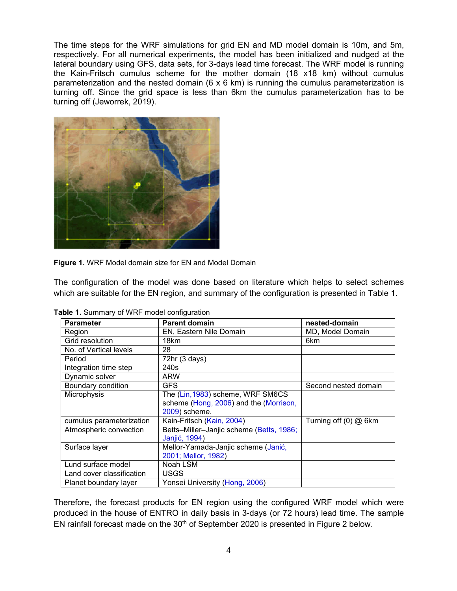The time steps for the WRF simulations for grid EN and MD model domain is 10m, and 5m, respectively. For all numerical experiments, the model has been initialized and nudged at the lateral boundary using GFS, data sets, for 3-days lead time forecast. The WRF model is running the Kain-Fritsch cumulus scheme for the mother domain (18 x18 km) without cumulus parameterization and the nested domain (6 x 6 km) is running the cumulus parameterization is turning off. Since the grid space is less than 6km the cumulus parameterization has to be turning off (Jeworrek, 2019).



**Figure 1.** WRF Model domain size for EN and Model Domain

The configuration of the model was done based on literature which helps to select schemes which are suitable for the EN region, and summary of the configuration is presented in Table 1.

| <b>Parameter</b>          | <b>Parent domain</b>                     | nested-domain             |  |  |  |  |  |
|---------------------------|------------------------------------------|---------------------------|--|--|--|--|--|
| Region                    | EN, Eastern Nile Domain                  | MD, Model Domain          |  |  |  |  |  |
| Grid resolution           | 18km                                     | 6km                       |  |  |  |  |  |
| No. of Vertical levels    | 28                                       |                           |  |  |  |  |  |
| Period                    | 72hr (3 days)                            |                           |  |  |  |  |  |
| Integration time step     | 240s                                     |                           |  |  |  |  |  |
| Dynamic solver            | <b>ARW</b>                               |                           |  |  |  |  |  |
| Boundary condition        | <b>GFS</b>                               | Second nested domain      |  |  |  |  |  |
| Microphysis               | The (Lin, 1983) scheme, WRF SM6CS        |                           |  |  |  |  |  |
|                           | scheme (Hong, 2006) and the (Morrison,   |                           |  |  |  |  |  |
|                           | 2009) scheme.                            |                           |  |  |  |  |  |
| cumulus parameterization  | Kain-Fritsch (Kain, 2004)                | Turning off $(0)$ $@$ 6km |  |  |  |  |  |
| Atmospheric convection    | Betts-Miller-Janjic scheme (Betts, 1986; |                           |  |  |  |  |  |
|                           | Janjić, 1994)                            |                           |  |  |  |  |  |
| Surface layer             | Mellor-Yamada-Janjic scheme (Janić,      |                           |  |  |  |  |  |
|                           | 2001; Mellor, 1982)                      |                           |  |  |  |  |  |
| Lund surface model        | Noah LSM                                 |                           |  |  |  |  |  |
| Land cover classification | <b>USGS</b>                              |                           |  |  |  |  |  |
| Planet boundary layer     | Yonsei University (Hong, 2006)           |                           |  |  |  |  |  |

**Table 1.** Summary of WRF model configuration

Therefore, the forecast products for EN region using the configured WRF model which were produced in the house of ENTRO in daily basis in 3-days (or 72 hours) lead time. The sample EN rainfall forecast made on the 30<sup>th</sup> of September 2020 is presented in Figure 2 below.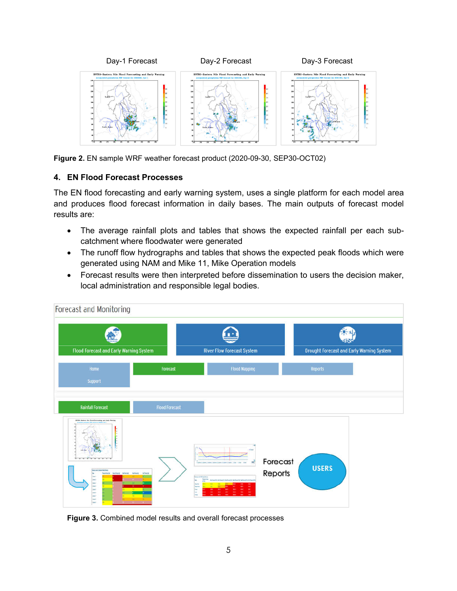

**Figure 2.** EN sample WRF weather forecast product (2020-09-30, SEP30-OCT02)

#### **4. EN Flood Forecast Processes**

The EN flood forecasting and early warning system, uses a single platform for each model area and produces flood forecast information in daily bases. The main outputs of forecast model results are:

- The average rainfall plots and tables that shows the expected rainfall per each subcatchment where floodwater were generated
- The runoff flow hydrographs and tables that shows the expected peak floods which were generated using NAM and Mike 11, Mike Operation models
- Forecast results were then interpreted before dissemination to users the decision maker, local administration and responsible legal bodies.



**Figure 3.** Combined model results and overall forecast processes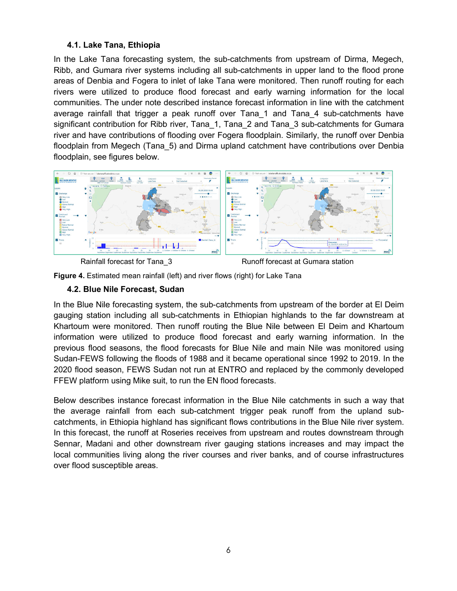#### **4.1. Lake Tana, Ethiopia**

In the Lake Tana forecasting system, the sub-catchments from upstream of Dirma, Megech, Ribb, and Gumara river systems including all sub-catchments in upper land to the flood prone areas of Denbia and Fogera to inlet of lake Tana were monitored. Then runoff routing for each rivers were utilized to produce flood forecast and early warning information for the local communities. The under note described instance forecast information in line with the catchment average rainfall that trigger a peak runoff over Tana\_1 and Tana\_4 sub-catchments have significant contribution for Ribb river, Tana\_1, Tana\_2 and Tana\_3 sub-catchments for Gumara river and have contributions of flooding over Fogera floodplain. Similarly, the runoff over Denbia floodplain from Megech (Tana\_5) and Dirma upland catchment have contributions over Denbia floodplain, see figures below.



Rainfall forecast for Tana 3 Runoff forecast at Gumara station



#### **4.2. Blue Nile Forecast, Sudan**

In the Blue Nile forecasting system, the sub-catchments from upstream of the border at El Deim gauging station including all sub-catchments in Ethiopian highlands to the far downstream at Khartoum were monitored. Then runoff routing the Blue Nile between El Deim and Khartoum information were utilized to produce flood forecast and early warning information. In the previous flood seasons, the flood forecasts for Blue Nile and main Nile was monitored using Sudan-FEWS following the floods of 1988 and it became operational since 1992 to 2019. In the 2020 flood season, FEWS Sudan not run at ENTRO and replaced by the commonly developed FFEW platform using Mike suit, to run the EN flood forecasts.

Below describes instance forecast information in the Blue Nile catchments in such a way that the average rainfall from each sub-catchment trigger peak runoff from the upland subcatchments, in Ethiopia highland has significant flows contributions in the Blue Nile river system. In this forecast, the runoff at Roseries receives from upstream and routes downstream through Sennar, Madani and other downstream river gauging stations increases and may impact the local communities living along the river courses and river banks, and of course infrastructures over flood susceptible areas.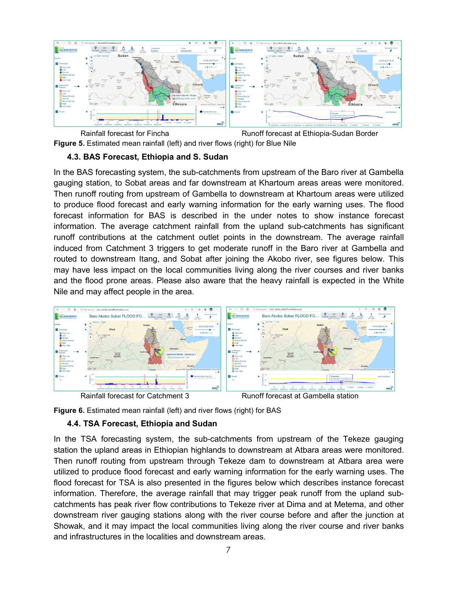

Rainfall forecast for Fincha **Runoff forecast at Ethiopia-Sudan Border** Runoff forecast at Ethiopia-Sudan Border **Figure 5.** Estimated mean rainfall (left) and river flows (right) for Blue Nile

#### **4.3. BAS Forecast, Ethiopia and S. Sudan**

In the BAS forecasting system, the sub-catchments from upstream of the Baro river at Gambella gauging station, to Sobat areas and far downstream at Khartoum areas areas were monitored. Then runoff routing from upstream of Gambella to downstream at Khartoum areas were utilized to produce flood forecast and early warning information for the early warning uses. The flood forecast information for BAS is described in the under notes to show instance forecast information. The average catchment rainfall from the upland sub-catchments has significant runoff contributions at the catchment outlet points in the downstream. The average rainfall induced from Catchment 3 triggers to get moderate runoff in the Baro river at Gambella and routed to downstream Itang, and Sobat after joining the Akobo river, see figures below. This may have less impact on the local communities living along the river courses and river banks and the flood prone areas. Please also aware that the heavy rainfall is expected in the White Nile and may affect people in the area.





#### **4.4. TSA Forecast, Ethiopia and Sudan**

In the TSA forecasting system, the sub-catchments from upstream of the Tekeze gauging station the upland areas in Ethiopian highlands to downstream at Atbara areas were monitored. Then runoff routing from upstream through Tekeze dam to downstream at Atbara area were utilized to produce flood forecast and early warning information for the early warning uses. The flood forecast for TSA is also presented in the figures below which describes instance forecast information. Therefore, the average rainfall that may trigger peak runoff from the upland subcatchments has peak river flow contributions to Tekeze river at Dima and at Metema, and other downstream river gauging stations along with the river course before and after the junction at Showak, and it may impact the local communities living along the river course and river banks and infrastructures in the localities and downstream areas.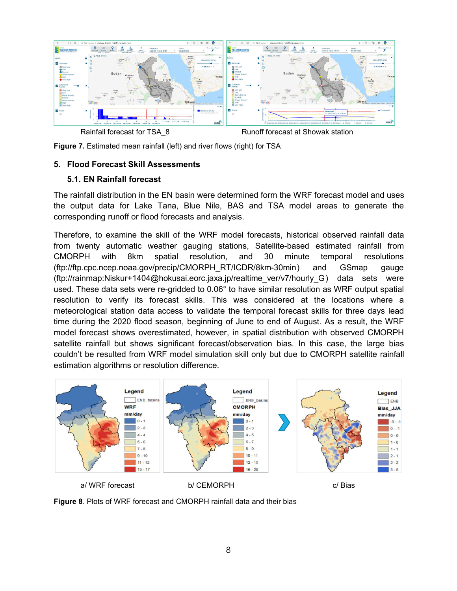

Rainfall forecast for TSA 8 Runoff forecast at Showak station

**Figure 7.** Estimated mean rainfall (left) and river flows (right) for TSA

#### **5. Flood Forecast Skill Assessments**

#### **5.1. EN Rainfall forecast**

The rainfall distribution in the EN basin were determined form the WRF forecast model and uses the output data for Lake Tana, Blue Nile, BAS and TSA model areas to generate the corresponding runoff or flood forecasts and analysis.

Therefore, to examine the skill of the WRF model forecasts, historical observed rainfall data from twenty automatic weather gauging stations, Satellite-based estimated rainfall from CMORPH with 8km spatial resolution, and 30 minute temporal resolutions (ftp://ftp.cpc.ncep.noaa.gov/precip/CMORPH\_RT/ICDR/8km-30min) and GSmap gauge (ftp://rainmap:Niskur+1404@hokusai.eorc.jaxa.jp/realtime\_ver/v7/hourly\_G) data sets were used. These data sets were re-gridded to 0.06° to have similar resolution as WRF output spatial resolution to verify its forecast skills. This was considered at the locations where a meteorological station data access to validate the temporal forecast skills for three days lead time during the 2020 flood season, beginning of June to end of August. As a result, the WRF model forecast shows overestimated, however, in spatial distribution with observed CMORPH satellite rainfall but shows significant forecast/observation bias. In this case, the large bias couldn't be resulted from WRF model simulation skill only but due to CMORPH satellite rainfall estimation algorithms or resolution difference.



**Figure 8**. Plots of WRF forecast and CMORPH rainfall data and their bias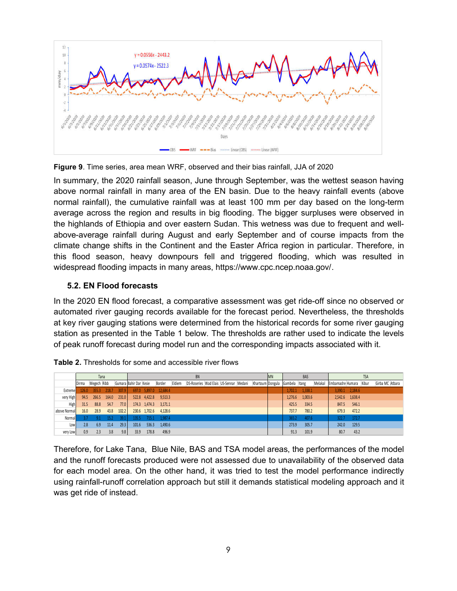

**Figure 9**. Time series, area mean WRF, observed and their bias rainfall, JJA of 2020

In summary, the 2020 rainfall season, June through September, was the wettest season having above normal rainfall in many area of the EN basin. Due to the heavy rainfall events (above normal rainfall), the cumulative rainfall was at least 100 mm per day based on the long-term average across the region and results in big flooding. The bigger surpluses were observed in the highlands of Ethiopia and over eastern Sudan. This wetness was due to frequent and wellabove-average rainfall during August and early September and of course impacts from the climate change shifts in the Continent and the Easter Africa region in particular. Therefore, in this flood season, heavy downpours fell and triggered flooding, which was resulted in widespread flooding impacts in many areas, https://www.cpc.ncep.noaa.gov/.

#### **5.2. EN Flood forecasts**

In the 2020 EN flood forecast, a comparative assessment was get ride-off since no observed or automated river gauging records available for the forecast period. Nevertheless, the thresholds at key river gauging stations were determined from the historical records for some river gauging station as presented in the Table 1 below. The thresholds are rather used to indicate the levels of peak runoff forecast during model run and the corresponding impacts associated with it.

|                |               | Tana        |       |       | <b>BN</b>              |               |                        |        |                                                                       |  |  | <b>MN</b> |  | <b>BAS</b> |         | <b>TSA</b> |                        |             |  |                 |
|----------------|---------------|-------------|-------|-------|------------------------|---------------|------------------------|--------|-----------------------------------------------------------------------|--|--|-----------|--|------------|---------|------------|------------------------|-------------|--|-----------------|
|                | <b>IDirma</b> | Megech Ribb |       |       | Gumara Bahir Dar Kesie |               | Border                 | Eldiem | DS-Roseries Wad Elais US-Sennar Medani Khartoum Dongula Gambela Itang |  |  |           |  |            |         | Melakal    | Embamadre Humara Kibur |             |  | Girba MC Atbara |
| <b>Extreme</b> | 126.0         | 355.3 218.7 |       | 307.9 |                        |               | 697.0 5,897.0 12,684.4 |        |                                                                       |  |  |           |  | 1.702.1    | 1,338.1 |            | 3,390.1 2,184.6        |             |  |                 |
| very High      | 94.5          | 266.5       | 164.0 | 231.0 |                        | 522.8 4,422.8 | 9,513.3                |        |                                                                       |  |  |           |  | 1.276.6    | 1,003.6 |            | 2,542.6 1,638.4        |             |  |                 |
| <b>High</b>    | 31.5          | 88.8        | 54.7  | 77.0  |                        | 174.3 1,474.3 | 3,171.1                |        |                                                                       |  |  |           |  | 425.5      | 334.5   |            |                        | 847.5 546.1 |  |                 |
| above Normal   | 16.0          | 28.9        | 43.8  | 102.2 |                        | 230.6 1,702.6 | 4,128.6                |        |                                                                       |  |  |           |  | 737.7      | 780.2   |            |                        | 679.3 472.2 |  |                 |
| Normal         |               | 9.1         | 15.2  | 39.1  | 135.5                  | 715.1         | 1,987.4                |        |                                                                       |  |  |           |  | 365.2      | 407.6   |            | 322.7                  | $-172.7$    |  |                 |
| Low            | 2.8           | 6.9         | 11.4  | 29.3  | 101.6                  | 536.3         | 1,490.6                |        |                                                                       |  |  |           |  | 273.9      | 305.7   |            | 242.0                  | 129.5       |  |                 |
| very Low       | 0.9           | 2.3         | 3.8   | 9.8   | 33.9                   | 178.8         | 496.9                  |        |                                                                       |  |  |           |  | 91.3       | 101.9   |            | 80.7                   | 43.2        |  |                 |

Therefore, for Lake Tana, Blue Nile, BAS and TSA model areas, the performances of the model and the runoff forecasts produced were not assessed due to unavailability of the observed data for each model area. On the other hand, it was tried to test the model performance indirectly using rainfall-runoff correlation approach but still it demands statistical modeling approach and it was get ride of instead.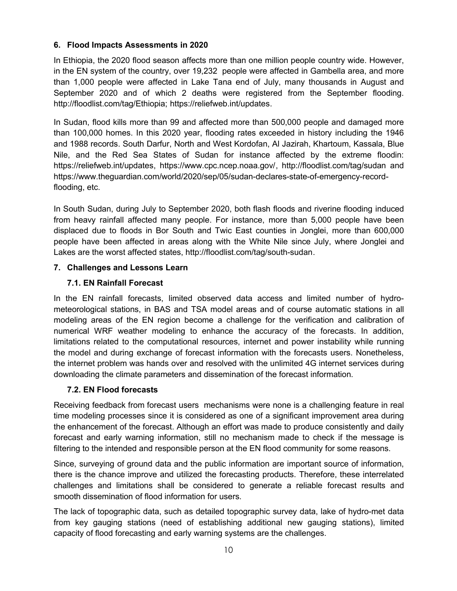#### **6. Flood Impacts Assessments in 2020**

In Ethiopia, the 2020 flood season affects more than one million people country wide. However, in the EN system of the country, over 19,232 people were affected in Gambella area, and more than 1,000 people were affected in Lake Tana end of July, many thousands in August and September 2020 and of which 2 deaths were registered from the September flooding. http://floodlist.com/tag/Ethiopia; https://reliefweb.int/updates.

In Sudan, flood kills more than 99 and affected more than 500,000 people and damaged more than 100,000 homes. In this 2020 year, flooding rates exceeded in history including the 1946 and 1988 records. South Darfur, North and West Kordofan, Al Jazirah, Khartoum, Kassala, Blue Nile, and the Red Sea States of Sudan for instance affected by the extreme floodin: https://reliefweb.int/updates, https://www.cpc.ncep.noaa.gov/, http://floodlist.com/tag/sudan and https://www.theguardian.com/world/2020/sep/05/sudan-declares-state-of-emergency-recordflooding, etc.

In South Sudan, during July to September 2020, both flash floods and riverine flooding induced from heavy rainfall affected many people. For instance, more than 5,000 people have been displaced due to floods in Bor South and Twic East counties in Jonglei, more than 600,000 people have been affected in areas along with the White Nile since July, where Jonglei and Lakes are the worst affected states, http://floodlist.com/tag/south-sudan.

#### **7. Challenges and Lessons Learn**

### **7.1. EN Rainfall Forecast**

In the EN rainfall forecasts, limited observed data access and limited number of hydrometeorological stations, in BAS and TSA model areas and of course automatic stations in all modeling areas of the EN region become a challenge for the verification and calibration of numerical WRF weather modeling to enhance the accuracy of the forecasts. In addition, limitations related to the computational resources, internet and power instability while running the model and during exchange of forecast information with the forecasts users. Nonetheless, the internet problem was hands over and resolved with the unlimited 4G internet services during downloading the climate parameters and dissemination of the forecast information.

#### **7.2. EN Flood forecasts**

Receiving feedback from forecast users mechanisms were none is a challenging feature in real time modeling processes since it is considered as one of a significant improvement area during the enhancement of the forecast. Although an effort was made to produce consistently and daily forecast and early warning information, still no mechanism made to check if the message is filtering to the intended and responsible person at the EN flood community for some reasons.

Since, surveying of ground data and the public information are important source of information, there is the chance improve and utilized the forecasting products. Therefore, these interrelated challenges and limitations shall be considered to generate a reliable forecast results and smooth dissemination of flood information for users.

The lack of topographic data, such as detailed topographic survey data, lake of hydro-met data from key gauging stations (need of establishing additional new gauging stations), limited capacity of flood forecasting and early warning systems are the challenges.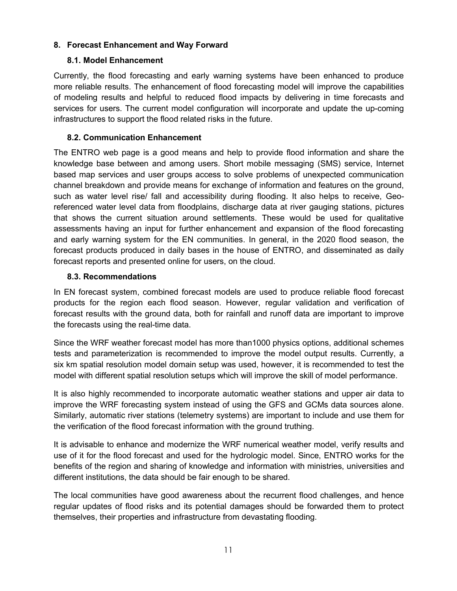#### **8. Forecast Enhancement and Way Forward**

#### **8.1. Model Enhancement**

Currently, the flood forecasting and early warning systems have been enhanced to produce more reliable results. The enhancement of flood forecasting model will improve the capabilities of modeling results and helpful to reduced flood impacts by delivering in time forecasts and services for users. The current model configuration will incorporate and update the up-coming infrastructures to support the flood related risks in the future.

#### **8.2. Communication Enhancement**

The ENTRO web page is a good means and help to provide flood information and share the knowledge base between and among users. Short mobile messaging (SMS) service, Internet based map services and user groups access to solve problems of unexpected communication channel breakdown and provide means for exchange of information and features on the ground, such as water level rise/ fall and accessibility during flooding. It also helps to receive, Georeferenced water level data from floodplains, discharge data at river gauging stations, pictures that shows the current situation around settlements. These would be used for qualitative assessments having an input for further enhancement and expansion of the flood forecasting and early warning system for the EN communities. In general, in the 2020 flood season, the forecast products produced in daily bases in the house of ENTRO, and disseminated as daily forecast reports and presented online for users, on the cloud.

#### **8.3. Recommendations**

In EN forecast system, combined forecast models are used to produce reliable flood forecast products for the region each flood season. However, regular validation and verification of forecast results with the ground data, both for rainfall and runoff data are important to improve the forecasts using the real-time data.

Since the WRF weather forecast model has more than1000 physics options, additional schemes tests and parameterization is recommended to improve the model output results. Currently, a six km spatial resolution model domain setup was used, however, it is recommended to test the model with different spatial resolution setups which will improve the skill of model performance.

It is also highly recommended to incorporate automatic weather stations and upper air data to improve the WRF forecasting system instead of using the GFS and GCMs data sources alone. Similarly, automatic river stations (telemetry systems) are important to include and use them for the verification of the flood forecast information with the ground truthing.

It is advisable to enhance and modernize the WRF numerical weather model, verify results and use of it for the flood forecast and used for the hydrologic model. Since, ENTRO works for the benefits of the region and sharing of knowledge and information with ministries, universities and different institutions, the data should be fair enough to be shared.

The local communities have good awareness about the recurrent flood challenges, and hence regular updates of flood risks and its potential damages should be forwarded them to protect themselves, their properties and infrastructure from devastating flooding.